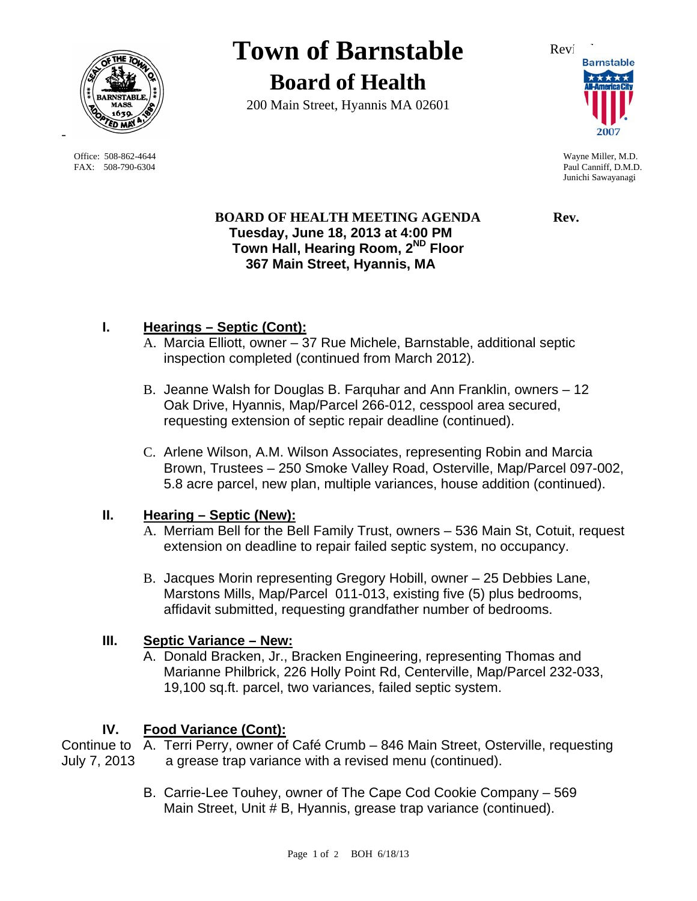

 Office: 508-862-4644 Wayne Miller, M.D. FAX: 508-790-6304 Paul Canniff, D.M.D.

# **Town of Barnstable** Review **Board of Health**

200 Main Street, Hyannis MA 02601



Junichi Sawayanagi

**BOARD OF HEALTH MEETING AGENDA Rev. Tuesday, June 18, 2013 at 4:00 PM Town Hall, Hearing Room, 2ND Floor 367 Main Street, Hyannis, MA** 

# **I. Hearings – Septic (Cont):**

- A. Marcia Elliott, owner 37 Rue Michele, Barnstable, additional septic inspection completed (continued from March 2012).
- B. Jeanne Walsh for Douglas B. Farquhar and Ann Franklin, owners 12 Oak Drive, Hyannis, Map/Parcel 266-012, cesspool area secured, requesting extension of septic repair deadline (continued).
- C. Arlene Wilson, A.M. Wilson Associates, representing Robin and Marcia Brown, Trustees – 250 Smoke Valley Road, Osterville, Map/Parcel 097-002, 5.8 acre parcel, new plan, multiple variances, house addition (continued).

### **II. Hearing – Septic (New):**

- A. Merriam Bell for the Bell Family Trust, owners 536 Main St, Cotuit, request extension on deadline to repair failed septic system, no occupancy.
- B. Jacques Morin representing Gregory Hobill, owner 25 Debbies Lane, Marstons Mills, Map/Parcel 011-013, existing five (5) plus bedrooms, affidavit submitted, requesting grandfather number of bedrooms.

# **III. Septic Variance – New:**

A. Donald Bracken, Jr., Bracken Engineering, representing Thomas and Marianne Philbrick, 226 Holly Point Rd, Centerville, Map/Parcel 232-033, 19,100 sq.ft. parcel, two variances, failed septic system.

# **IV. Food Variance (Cont):**

Continue to A. Terri Perry, owner of Café Crumb – 846 Main Street, Osterville, requesting July 7, 2013 a grease trap variance with a revised menu (continued).

> B. Carrie-Lee Touhey, owner of The Cape Cod Cookie Company – 569 Main Street, Unit # B, Hyannis, grease trap variance (continued).